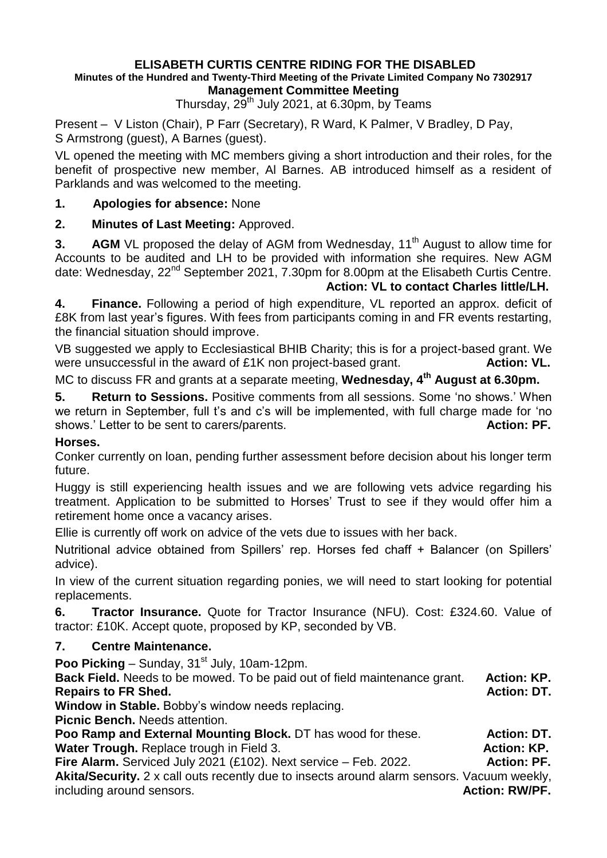# **ELISABETH CURTIS CENTRE RIDING FOR THE DISABLED**

#### **Minutes of the Hundred and Twenty-Third Meeting of the Private Limited Company No 7302917 Management Committee Meeting**

Thursday,  $29<sup>th</sup>$  July 2021, at 6.30pm, by Teams

Present – V Liston (Chair), P Farr (Secretary), R Ward, K Palmer, V Bradley, D Pay, S Armstrong (guest), A Barnes (guest).

VL opened the meeting with MC members giving a short introduction and their roles, for the benefit of prospective new member, Al Barnes. AB introduced himself as a resident of Parklands and was welcomed to the meeting.

#### **1. Apologies for absence:** None

## **2. Minutes of Last Meeting:** Approved.

**3. AGM** VL proposed the delay of AGM from Wednesday, 11<sup>th</sup> August to allow time for Accounts to be audited and LH to be provided with information she requires. New AGM date: Wednesday, 22<sup>nd</sup> September 2021, 7.30pm for 8.00pm at the Elisabeth Curtis Centre.

#### **Action: VL to contact Charles little/LH.**

**4. Finance.** Following a period of high expenditure, VL reported an approx. deficit of £8K from last year's figures. With fees from participants coming in and FR events restarting, the financial situation should improve.

VB suggested we apply to Ecclesiastical BHIB Charity; this is for a project-based grant. We were unsuccessful in the award of £1K non project-based grant. **Action: VL.** 

MC to discuss FR and grants at a separate meeting, **Wednesday, 4th August at 6.30pm.**

**5. Return to Sessions.** Positive comments from all sessions. Some 'no shows.' When we return in September, full t's and c's will be implemented, with full charge made for 'no shows.' Letter to be sent to carers/parents. **Action: PF. Action: PF.** 

#### **Horses.**

Conker currently on loan, pending further assessment before decision about his longer term future.

Huggy is still experiencing health issues and we are following vets advice regarding his treatment. Application to be submitted to Horses' Trust to see if they would offer him a retirement home once a vacancy arises.

Ellie is currently off work on advice of the vets due to issues with her back.

Nutritional advice obtained from Spillers' rep. Horses fed chaff + Balancer (on Spillers' advice).

In view of the current situation regarding ponies, we will need to start looking for potential replacements.

**6. Tractor Insurance.** Quote for Tractor Insurance (NFU). Cost: £324.60. Value of tractor: £10K. Accept quote, proposed by KP, seconded by VB.

## **7. Centre Maintenance.**

Poo Picking – Sunday, 31<sup>st</sup> July, 10am-12pm.

**Back Field.** Needs to be mowed. To be paid out of field maintenance grant. **Action: KP. Repairs to FR Shed.** Action: DT.

**Window in Stable.** Bobby's window needs replacing.

**Picnic Bench.** Needs attention.

**Poo Ramp and External Mounting Block.** DT has wood for these. **Action: DT. Water Trough.** Replace trough in Field 3. **Action: KP. Action: KP.** 

**Fire Alarm.** Serviced July 2021 (£102). Next service – Feb. 2022. **Action: PF.** 

**Akita/Security.** 2 x call outs recently due to insects around alarm sensors. Vacuum weekly, including around sensors. **Action: RW/PF. Action: RW/PF.**